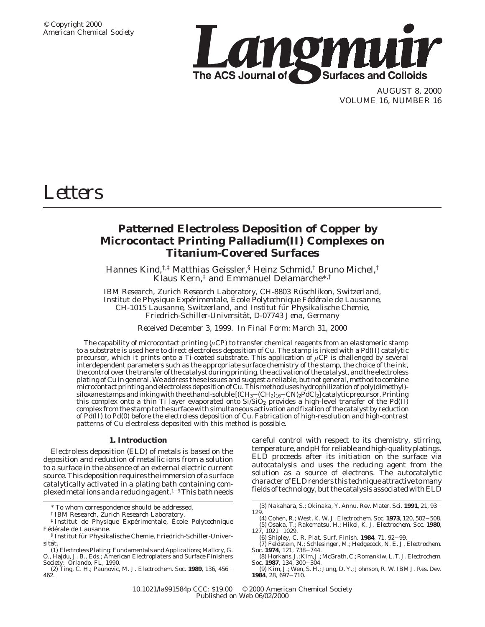

AUGUST 8, 2000 VOLUME 16, NUMBER 16

# *Letters*

## **Patterned Electroless Deposition of Copper by Microcontact Printing Palladium(II) Complexes on Titanium-Covered Surfaces**

Hannes Kind,†,‡ Matthias Geissler,§ Heinz Schmid,† Bruno Michel,† Klaus Kern,‡ and Emmanuel Delamarche\*,†

*IBM Research, Zurich Research Laboratory, CH-8803 Ru*¨ *schlikon, Switzerland, Institut de Physique Expérimentale, Ecole Polytechnique Fédérale de Lausanne, CH-1015 Lausanne, Switzerland, and Institut fu*¨ *r Physikalische Chemie, Friedrich-Schiller-Universita*¨*t, D-07743 Jena, Germany*

*Received December 3, 1999. In Final Form: March 31, 2000*

The capability of microcontact printing ( $\mu$ CP) to transfer chemical reagents from an elastomeric stamp to a substrate is used here to direct electroless deposition of Cu. The stamp is inked with a Pd(II) catalytic precursor, which it prints onto a Ti-coated substrate. This application of *µ*CP is challenged by several interdependent parameters such as the appropriate surface chemistry of the stamp, the choice of the ink, the control over the transfer of the catalyst during printing, the activation of the catalyst, and the electroless plating of Cu in general. We address these issues and suggest a reliable, but not general, method to combine microcontact printing and electroless deposition of Cu. This method uses hydrophilization of poly(dimethyl) siloxane stamps and inking with the ethanol-soluble  $[(CH_3-(CH_2)_{16}-CN)_2PdCl_2]$  catalytic precursor. Printing this complex onto a thin Ti layer evaporated onto  $Si/SiO<sub>2</sub>$  provides a high-level transfer of the Pd(II) complex from the stamp to the surface with simultaneous activation and fixation of the catalyst by reduction of Pd(II) to Pd(0) before the electroless deposition of Cu. Fabrication of high-resolution and high-contrast patterns of Cu electroless deposited with this method is possible.

### **1. Introduction**

Electroless deposition (ELD) of metals is based on the deposition and reduction of metallic ions from a solution to a surface in the absence of an external electric current source. This deposition requires the immersion of a surface catalytically activated in a plating bath containing complexed metal ions and a reducing agent.<sup>1-9</sup> This bath needs careful control with respect to its chemistry, stirring, temperature, and pH for reliable and high-quality platings. ELD proceeds after its initiation on the surface via autocatalysis and uses the reducing agent from the solution as a source of electrons. The autocatalytic character of ELD renders this technique attractive to many fields of technology, but the catalysis associated with ELD

<sup>\*</sup> To whom correspondence should be addressed.

<sup>†</sup> IBM Research, Zurich Research Laboratory.

<sup>&</sup>lt;sup>‡</sup> Institut de Physique Expérimentale, École Polytechnique Fédérale de Lausanne.

<sup>§</sup> Institut für Physikalische Chemie, Friedrich-Schiller-Universität.

<sup>(1)</sup> *Electroless Plating*: *Fundamentals and Applications*; Mallory, G. O., Hajdu, J. B., Eds.; American Electroplaters and Surface Finishers Society: Orlando, FL, 1990.

<sup>(2)</sup> Ting, C. H.; Paunovic, M. *J. Electrochem. Soc.* **<sup>1989</sup>**, *<sup>136</sup>*, 456- 462.

<sup>(3)</sup> Nakahara, S.; Okinaka, Y. *Annu. Rev. Mater. Sci.* **<sup>1991</sup>**, *<sup>21</sup>*, 93- 129.

<sup>(4)</sup> Cohen, R.; West, K. W. *J. Electrochem. Soc.* **<sup>1973</sup>**, *<sup>120</sup>*, 502-508. (5) Osaka, T.; Rakematsu, H.; Hikei, K. *J. Electrochem. Soc.* **1980**, *<sup>127</sup>*, 1021-1029.

<sup>(6)</sup> Shipley, C. R. *Plat. Surf. Finish.* **<sup>1984</sup>**, *<sup>71</sup>*, 92-99. (7) Feldstein, N.; Schlesinger, M.; Hedgecock, N. E. *J. Electrochem. Soc*. **<sup>1974</sup>**, *<sup>121</sup>*, 738-744.

<sup>(8)</sup> Horkans, J.; Kim, J.; McGrath, C.; Romankiw, L. T.*J. Electrochem. Soc*. **<sup>1987</sup>**, *<sup>134</sup>*, 300-304.

<sup>(9)</sup> Kim, J.; Wen, S. H.; Jung, D. Y.; Johnson, R. W. *IBM J. Res. Dev.* **<sup>1984</sup>**, *<sup>28</sup>*, 697-710.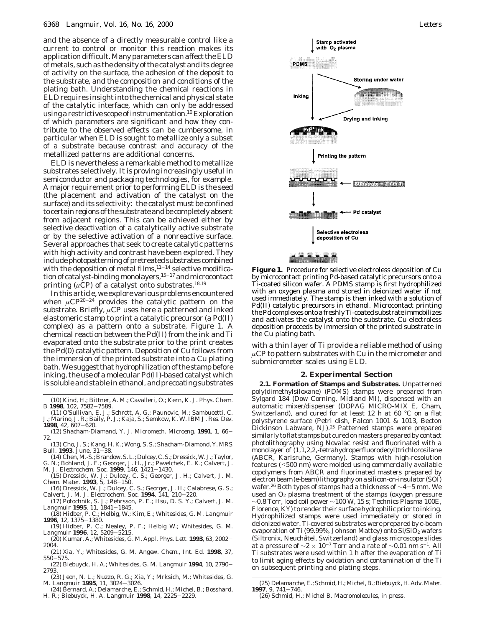and the absence of a directly measurable control like a current to control or monitor this reaction makes its application difficult. Many parameters can affect the ELD of metals, such as the density of the catalyst and its degree of activity on the surface, the adhesion of the deposit to the substrate, and the composition and conditions of the plating bath. Understanding the chemical reactions in ELD requires insight into the chemical and physical state of the catalytic interface, which can only be addressed using a restrictive scope of instrumentation.<sup>10</sup> Exploration of which parameters are significant and how they contribute to the observed effects can be cumbersome, in particular when ELD is sought to metallize only a subset of a substrate because contrast and accuracy of the metallized patterns are additional concerns.

ELD is nevertheless a remarkable method to metallize substrates selectively. It is proving increasingly useful in semiconductor and packaging technologies, for example. A major requirement prior to performing ELD is the seed (the placement and activation of the catalyst on the surface) and its selectivity: the catalyst must be confined to certain regions of the substrate and be completely absent from adjacent regions. This can be achieved either by selective deactivation of a catalytically active substrate or by the selective activation of a nonreactive surface. Several approaches that seek to create catalytic patterns with high activity and contrast have been explored. They include photopatterning of pretreated substrates combined with the deposition of metal films, $11-14$  selective modification of catalyst-binding monolayers,<sup>15-17</sup> and microcontact printing ( $\mu$ CP) of a catalyst onto substrates.<sup>18,19</sup>

In this article, we explore various problems encountered when *µ*CP20-<sup>24</sup> provides the catalytic pattern on the substrate. Briefly, *µ*CP uses here a patterned and inked elastomeric stamp to print a catalytic precursor (a Pd(II) complex) as a pattern onto a substrate, Figure 1. A chemical reaction between the Pd(II) from the ink and Ti evaporated onto the substrate prior to the print creates the Pd(0) catalytic pattern. Deposition of Cu follows from the immersion of the printed substrate into a Cu plating bath. We suggest that hydrophilization of the stamp before inking, the use of a molecular Pd(II)-based catalyst which is soluble and stable in ethanol, and precoating substrates

- (10) Kind, H.; Bittner, A. M.; Cavalleri, O.; Kern, K. *J. Phys. Chem. <sup>B</sup>* **<sup>1998</sup>**, *<sup>102</sup>*, 7582-7589.
- (11) O'Sullivan, E. J.; Schrott, A. G.; Paunovic, M.; Sambucetti, C. J.; Marino, J. R.; Baily, P. J.; Kaja, S.; Semkow, K. W. *IBM J. Res. Dev.* **<sup>1998</sup>**, *<sup>42</sup>*, 607-620.
- (12) Shacham-Diamand, Y. *J. Micromech. Microeng.* **<sup>1991</sup>**, *<sup>1</sup>*, 66- 72.
- (13) Cho, J. S.; Kang, H. K.; Wong, S. S.; Shacham-Diamond, Y. *MRS Bull.* **<sup>1993</sup>**, June, 31-38.
- (14) Chen, M.-S.; Brandow, S. L.; Dulcey, C. S.; Dressick, W. J.; Taylor, G. N.; Bohland, J. F.; Georger, J. H., Jr.; Pavelchek, E. K.; Calvert, J.
- M. *J. Electrochem. Soc.* **<sup>1999</sup>**, *<sup>146</sup>*, 1421-1430. (15) Dressick, W. J.; Dulcey, C. S.; Georger, J. H.; Calvert, J. M.
- *Chem. Mater.* **<sup>1993</sup>**, *<sup>5</sup>*, 148-150. (16) Dressick, W. J.; Dulcey, C. S.; Georger, J. H.; Calabrese, G. S.; Calvert, J. M. *J. Electrochem. Soc.* **<sup>1994</sup>**, *<sup>141</sup>*, 210-220.
- (17) Potochnik, S. J.; Pehrsson, P. E.; Hsu, D. S. Y.; Calvert, J. M. *Langmuir* **<sup>1995</sup>**, *<sup>11</sup>*, 1841-1845.
- (18) Hidber, P. C.; Helbig, W.; Kim, E.; Whitesides, G. M. *Langmuir* **<sup>1996</sup>**, *<sup>12</sup>*, 1375-1380.
- (19) Hidber, P. C.; Nealey, P. F.; Helbig W.; Whitesides, G. M. *Langmuir* **<sup>1996</sup>**, *<sup>12</sup>*, 5209-5215.
- (20) Kumar, A.; Whitesides, G. M. *Appl. Phys. Lett.* **<sup>1993</sup>**, *<sup>63</sup>*, 2002- 2004.
- (21) Xia, Y.; Whitesides, G. M. *Angew. Chem., Int. Ed.* **1998**, *37*, <sup>550</sup>-575.
- (22) Biebuyck, H. A.; Whitesides, G. M. *Langmuir* **<sup>1994</sup>**, *<sup>10</sup>*, 2790- 2793.
- (23) Jeon, N. L.; Nuzzo, R. G.; Xia, Y.; Mrksich, M.; Whitesides, G. M. *Langmuir* **<sup>1995</sup>**, *<sup>11</sup>*, 3024-3026.
- (24) Bernard, A.; Delamarche, E.; Schmid, H.; Michel, B.; Bosshard, H. R.; Biebuyck, H. A. *Langmuir* **<sup>1998</sup>**, *<sup>14</sup>*, 2225-2229.



**Figure 1.** Procedure for selective electroless deposition of Cu by microcontact printing Pd-based catalytic precursors onto a Ti-coated silicon wafer. A PDMS stamp is first hydrophilized with an oxygen plasma and stored in deionized water if not used immediately. The stamp is then inked with a solution of Pd(II) catalytic precursors in ethanol. Microcontact printing the Pd complexes onto a freshly Ti-coated substrate immobilizes and activates the catalyst onto the substrate. Cu electroless deposition proceeds by immersion of the printed substrate in the Cu plating bath.

with a thin layer of Ti provide a reliable method of using *µ*CP to pattern substrates with Cu in the micrometer and submicrometer scales using ELD.

### **2. Experimental Section**

**2.1. Formation of Stamps and Substrates.** Unpatterned poly(dimethylsiloxane) (PDMS) stamps were prepared from Sylgard 184 (Dow Corning, Midland MI), dispensed with an automatic mixer/dispenser (DOPAG MICRO-MIX E, Cham, Switzerland), and cured for at least 12 h at 60 °C on a flat polystyrene surface (Petri dish, Falcon 1001 & 1013, Becton Dickinson Labware, NJ).25 Patterned stamps were prepared similarly to flat stamps but cured on masters prepared by contact photolithography using Novalac resist and fluorinated with a monolayer of  $(1,1,2,2,$ -tetrahydroperfluorodecyl)trichlorosilane (ABCR, Karlsruhe, Germany). Stamps with high-resolution features (<500 nm) were molded using commercially available copolymers from ABCR and fluorinated masters prepared by electronbeam(e-beam)lithographyonasilicon-on-insulator(SOI) wafer.26 Both types of stamps had a thickness of <sup>∼</sup>4-5 mm. We used an  $O<sub>2</sub>$  plasma treatment of the stamps (oxygen pressure ∼0.8 Torr, load coil power ∼100 W, 15 s; Technics Plasma 100E, Florence, KY) to render their surface hydrophilic prior to inking. Hydrophilized stamps were used immediately or stored in deionized water. Ti-covered substrates were prepared by e-beam evaporation of Ti (99.99%, Johnson Mattey) onto  $Si/SiO<sub>2</sub>$  wafers (Siltronix, Neuchaˆtel, Switzerland) and glass microscope slides at a pressure of  $\sim$ 2 × 10<sup>-7</sup> Torr and a rate of  $\sim$ 0.01 nm s<sup>-1</sup>. All Ti substrates were used within 1 h after the evaporation of Ti to limit aging effects by oxidation and contamination of the Ti on subsequent printing and plating steps.

<sup>(25)</sup> Delamarche, E.; Schmid, H.; Michel, B.; Biebuyck, H.*Adv. Mater.* **<sup>1997</sup>**, *<sup>9</sup>*, 741-746. (26) Schmid, H.; Michel B. *Macromolecules*, in press.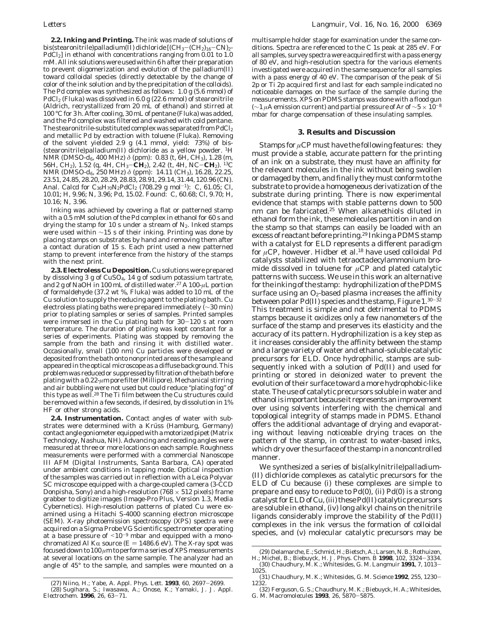**2.2. Inking and Printing.** The ink was made of solutions of bis(stearonitrile)palladium(II) dichloride  $[(CH_3-(CH_2)_{16}-CN)_2$ -PdCl<sub>2</sub>] in ethanol with concentrations ranging from 0.01 to 1.0 mM. All ink solutions were used within 6 h after their preparation to prevent oligomerization and evolution of the palladium(II) toward colloidal species (directly detectable by the change of color of the ink solution and by the precipitation of the colloids). The Pd complex was synthesized as follows: 1.0 g (5.6 mmol) of PdCl2 (Fluka) was dissolved in 6.0 g (22.6 mmol) of stearonitrile (Aldrich, recrystallized from 20 mL of ethanol) and stirred at 100 °C for 3 h. After cooling, 30 mL of pentane (Fluka) was added, and the Pd complex was filtered and washed with cold pentane. The stearonitrile-substituted complex was separated from  $PdCl<sub>2</sub>$ and metallic Pd by extraction with toluene (Fluka). Removing of the solvent yielded 2.9 g (4.1 mmol, yield: 73%) of bis- (stearonitrile)palladium(II) dichloride as a yellow powder. 1H NMR (DMSO-*d*<sub>6</sub>, 400 MHz)  $\delta$  (ppm): 0.83 (t, 6H, CH<sub>3</sub>), 1.28 (m, 56H, CH2), 1.52 (q, 4H, CH3-**CH**2), 2.42 (t, 4H, NC-**CH**2). 13C NMR (DMSO-*d*<sub>6</sub>, 250 MHz) *δ* (ppm): 14.11 (CH<sub>3</sub>), 16.28, 22.25, 23.51, 24.85, 28.20, 28.29, 28.83, 28.91, 29.14, 31.44, 120.96 (CN). Anal. Calcd for  $C_{36}H_{70}N_2PdCl_2$  (708.29 g mol<sup>-1</sup>): C, 61.05; Cl, 10.01; H, 9.96; N, 3.96; Pd, 15.02. Found: C, 60.68; Cl, 9.70; H, 10.16; N, 3.96.

Inking was achieved by covering a flat or patterned stamp with a 0.5 mM solution of the Pd complex in ethanol for 60 s and drying the stamp for 10 s under a stream of  $N_2$ . Inked stamps were used within ∼15 s of their inking. Printing was done by placing stamps on substrates by hand and removing them after a contact duration of 15 s. Each print used a new patterned stamp to prevent interference from the history of the stamps with the next print.

**2.3. Electroless Cu Deposition.** Cu solutions were prepared by dissolving 3 g of  $CuSO<sub>4</sub>$ , 14 g of sodium potassium tartrate, and 2 g of NaOH in 100 mL of distilled water.27 A 100-*µ*L portion of formaldehyde (37.2 wt %, Fluka) was added to 10 mL of the Cu solution to supply the reducing agent to the plating bath. Cu electroless plating baths were prepared immediately (∼30 min) prior to plating samples or series of samples. Printed samples were immersed in the Cu plating bath for 30-120 s at room temperature. The duration of plating was kept constant for a series of experiments. Plating was stopped by removing the sample from the bath and rinsing it with distilled water. Occasionally, small (100 nm) Cu particles were developed or deposited from the bath onto nonprinted areas of the sample and appeared in the optical microscope as a diffuse background. This problem was reduced or suppressed by filtration of the bath before plating with a 0.22-*µ*m pore filter (Millipore). Mechanical stirring and air bubbling were not used but could reduce "plating fog" of this type as well.<sup>28</sup> The Ti film between the Cu structures could be removed within a few seconds, if desired, by dissolution in 1% HF or other strong acids.

**2.4. Instrumentation.** Contact angles of water with substrates were determined with a Krüss (Hamburg, Germany) contact angle goniometer equipped with a motorized pipet (Matrix Technology, Nashua, NH). Advancing and receding angles were measured at three or more locations on each sample. Roughness measurements were performed with a commercial Nanoscope III AFM (Digital Instruments, Santa Barbara, CA) operated under ambient conditions in tapping mode. Optical inspection of the samples was carried out in reflection with a Leica Polyvar SC microscope equipped with a charge-coupled camera (3-CCD Donpisha, Sony) and a high-resolution (768  $\times$  512 pixels) frame grabber to digitize images (Image-Pro Plus, Version 1.3, Media Cybernetics). High-resolution patterns of plated Cu were examined using a Hitachi S-4000 scanning electron microscope (SEM). X-ray photoemission spectroscopy (XPS) spectra were acquired on a Sigma Probe VG Scientific spectrometer operating at a base pressure of  $\leq 10^{-9}$  mbar and equipped with a monochromatized Al K $\alpha$  source ( $E = 1486.6 \text{ eV}$ ). The X-ray spot was focused down to 100 *µ*m to perform a series of XPS measurements at several locations on the same sample. The analyzer had an angle of 45° to the sample, and samples were mounted on a

multisample holder stage for examination under the same conditions. Spectra are referenced to the C 1s peak at 285 eV. For all samples, survey spectra were acquired first with a pass energy of 80 eV, and high-resolution spectra for the various elements investigated were acquired in the same sequence for all samples with a pass energy of 40 eV. The comparison of the peak of Si 2p or Ti 2p acquired first and last for each sample indicated no noticeable damages on the surface of the sample during the measurements. XPS on PDMS stamps was done with a flood gun (∼1 *µ*A emission current) and partial pressure of Ar of ∼5 × 10-<sup>8</sup> mbar for charge compensation of these insulating samples.

#### **3. Results and Discussion**

Stamps for  $\mu$ CP must have the following features: they must provide a stable, accurate pattern for the printing of an ink on a substrate, they must have an affinity for the relevant molecules in the ink without being swollen or damaged by them, and finally they must conform to the substrate to provide a homogeneous derivatization of the substrate during printing. There is now experimental evidence that stamps with stable patterns down to 500 nm can be fabricated.25 When alkanethiols diluted in ethanol form the ink, these molecules partition in and on the stamp so that stamps can easily be loaded with an excess of reactant before printing.<sup>29</sup> Inking a PDMS stamp with a catalyst for ELD represents a different paradigm for µCP, however. Hidber et al.<sup>18</sup> have used colloidal Pd catalysts stabilized with tetraoctadecylammonium bromide dissolved in toluene for *µ*CP and plated catalytic patterns with success. We use in this work an alternative for the inking of the stamp: hydrophilization of the PDMS surface using an  $O<sub>2</sub>$ -based plasma increases the affinity between polar Pd(II) species and the stamp, Figure  $1.^{30-32}$ This treatment is simple and not detrimental to PDMS stamps because it oxidizes only a few nanometers of the surface of the stamp and preserves its elasticity and the accuracy of its pattern. Hydrophilization is a key step as it increases considerably the affinity between the stamp and a large variety of water and ethanol-soluble catalytic precursors for ELD. Once hydrophilic, stamps are subsequently inked with a solution of Pd(II) and used for printing or stored in deionized water to prevent the evolution of their surface toward a more hydrophobic-like state. The use of catalytic precursors soluble in water and ethanol is important because it represents an improvement over using solvents interfering with the chemical and topological integrity of stamps made in PDMS. Ethanol offers the additional advantage of drying and evaporating without leaving noticeable drying traces on the pattern of the stamp, in contrast to water-based inks, which dry over the surface of the stamp in a noncontrolled manner.

We synthesized a series of bis(alkylnitrile)palladium- (II) dichloride complexes as catalytic precursors for the ELD of Cu because (i) these complexes are simple to prepare and easy to reduce to Pd(0), (ii) Pd(0) is a strong catalyst for ELD of Cu, (iii) these Pd(II) catalytic precursors are soluble in ethanol, (iv) long alkyl chains on the nitrile ligands considerably improve the stability of the Pd(II) complexes in the ink versus the formation of colloidal species, and (v) molecular catalytic precursors may be

<sup>(29)</sup> Delamarche,E.;Schmid,H.;Bietsch,A.;Larsen,N.B.;Rothuizen, H.; Michel, B.; Biebuyck, H. *J. Phys. Chem. B* **<sup>1998</sup>**, *<sup>102</sup>*, 3324-3334.

<sup>(30)</sup> Chaudhury, M. K.; Whitesides, G. M. *Langmuir* **<sup>1991</sup>**, *<sup>7</sup>*, 1013- 1025.

<sup>(31)</sup> Chaudhury, M. K.; Whitesides, G. M. *Science* **<sup>1992</sup>**, *<sup>255</sup>*, 1230- 1232.

<sup>(27)</sup> Niino, H.; Yabe, A. *Appl. Phys. Lett.* **<sup>1993</sup>**, *<sup>60</sup>*, 2697-2699. (28) Sugihara, S.; Iwasawa, A.; Onose, K.; Yamaki, J. *J. Appl. Electrochem.* **<sup>1996</sup>**, *<sup>26</sup>*, 63-71.

<sup>(32)</sup> Ferguson, G. S.; Chaudhury, M. K.; Biebuyck, H. A.; Whitesides, G. M. *Macromolecules* **<sup>1993</sup>**, *<sup>26</sup>*, 5870-5875.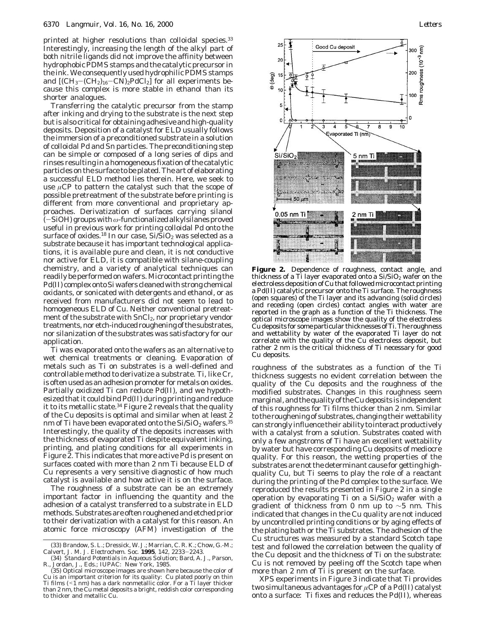printed at higher resolutions than colloidal species.<sup>33</sup> Interestingly, increasing the length of the alkyl part of both nitrile ligands did not improve the affinity between hydrophobic PDMS stamps and the catalytic precursor in the ink. We consequently used hydrophilic PDMS stamps and  $[(CH_3-(CH_2)_{16}-CN)_2PdCl_2]$  for all experiments because this complex is more stable in ethanol than its shorter analogues.

Transferring the catalytic precursor from the stamp after inking and drying to the substrate is the next step but is also critical for obtaining adhesive and high-quality deposits. Deposition of a catalyst for ELD usually follows the immersion of a preconditioned substrate in a solution of colloidal Pd and Sn particles. The preconditioning step can be simple or composed of a long series of dips and rinses resulting in a homogeneous fixation of the catalytic particles on the surface to be plated. The art of elaborating a successful ELD method lies therein. Here, we seek to use  $\mu$ CP to pattern the catalyst such that the scope of possible pretreatment of the substrate before printing is different from more conventional and proprietary approaches. Derivatization of surfaces carrying silanol (-SiOH) groups with*ω*-functionalized alkylsilanes proved useful in previous work for printing colloidal Pd onto the surface of oxides.<sup>18</sup> In our case,  $Si/SiO<sub>2</sub>$  was selected as a substrate because it has important technological applications, it is available pure and clean, it is not conductive nor active for ELD, it is compatible with silane-coupling chemistry, and a variety of analytical techniques can readily be performed on wafers. Microcontact printing the Pd(II) complex onto Si wafers cleaned with strong chemical oxidants, or sonicated with detergents and ethanol, or as received from manufacturers did not seem to lead to homogeneous ELD of Cu. Neither conventional pretreatment of the substrate with SnCl<sub>2</sub>, nor proprietary vendor treatments, nor etch-induced roughening of the substrates, nor silanization of the substrates was satisfactory for our application.

Ti was evaporated onto the wafers as an alternative to wet chemical treatments or cleaning. Evaporation of metals such as Ti on substrates is a well-defined and controllable method to derivatize a substrate. Ti, like Cr, is often used as an adhesion promoter for metals on oxides. Partially oxidized Ti can reduce Pd(II), and we hypothesized that it could bind Pd(II) during printing and reduce it to its metallic state.<sup>34</sup> Figure 2 reveals that the quality of the Cu deposits is optimal and similar when at least 2 nm of Ti have been evaporated onto the  $Si/SiO<sub>2</sub>$  wafers.<sup>35</sup> Interestingly, the quality of the deposits increases with the thickness of evaporated Ti despite equivalent inking, printing, and plating conditions for all experiments in Figure 2. This indicates that more active Pd is present on surfaces coated with more than 2 nm Ti because ELD of Cu represents a very sensitive diagnostic of how much catalyst is available and how active it is on the surface.

The roughness of a substrate can be an extremely important factor in influencing the quantity and the adhesion of a catalyst transferred to a substrate in ELD methods. Substrates are often roughened and etched prior to their derivatization with a catalyst for this reason. An atomic force microscopy (AFM) investigation of the



**Figure 2.** Dependence of roughness, contact angle, and thickness of a Ti layer evaporated onto a  $Si/SiO<sub>2</sub>$  wafer on the electroless deposition of Cu that followed microcontact printing a Pd(II) catalytic precursor onto the Ti surface. The roughness (open squares) of the Ti layer and its advancing (solid circles) and receding (open circles) contact angles with water are reported in the graph as a function of the Ti thickness. The optical microscope images show the quality of the electroless Cu deposits for some particular thicknesses of Ti. The roughness and wettability by water of the evaporated Ti layer do not correlate with the quality of the Cu electroless deposit, but rather 2 nm is the critical thickness of Ti necessary for good Cu deposits.

roughness of the substrates as a function of the Ti thickness suggests no evident correlation between the quality of the Cu deposits and the roughness of the modified substrates. Changes in this roughness seem marginal, and the quality of the Cu deposits is independent of this roughness for Ti films thicker than 2 nm. Similar to the roughening of substrates, changing their wettability can strongly influence their ability to interact productively with a catalyst from a solution. Substrates coated with only a few angstroms of Ti have an excellent wettability by water but have corresponding Cu deposits of mediocre quality. For this reason, the wetting properties of the substrates are not the determinant cause for getting highquality Cu, but Ti seems to play the role of a reactant during the printing of the Pd complex to the surface. We reproduced the results presented in Figure 2 in a single operation by evaporating Ti on a  $Si/SiO<sub>2</sub>$  wafer with a gradient of thickness from 0 nm up to ∼5 nm. This indicated that changes in the Cu quality are not induced by uncontrolled printing conditions or by aging effects of the plating bath or the Ti substrates. The adhesion of the Cu structures was measured by a standard Scotch tape test and followed the correlation between the quality of the Cu deposit and the thickness of Ti on the substrate: Cu is not removed by peeling off the Scotch tape when more than 2 nm of Ti is present on the surface.

XPS experiments in Figure 3 indicate that Ti provides two simultaneous advantages for *µ*CP of a Pd(II) catalyst onto a surface: Ti fixes and reduces the Pd(II), whereas

<sup>(33)</sup> Brandow, S. L.; Dressick, W. J.; Marrian, C. R. K.; Chow, G.-M.; Calvert, J. M. J. Electrochem. Soc. 1995, 142, 2233-2243.

Calvert, J. M. *J. Electrochem. Soc.* **<sup>1995</sup>**, *<sup>142</sup>*, 2233-2243. (34) *Standard Potentials in Aqueous Solution*; Bard, A. J., Parson, R., Jordan, J., Eds.; IUPAC: New York, 1985.

<sup>(35)</sup> Optical microscope images are shown here because the color of Cu is an important criterion for its quality: Cu plated poorly on thin Ti films ( $\leq 1$  nm) has a dark nonmetallic color. For a Ti layer thicker than 2 nm, the Cu metal deposits a bright, reddish color corresponding to thicker and metallic Cu.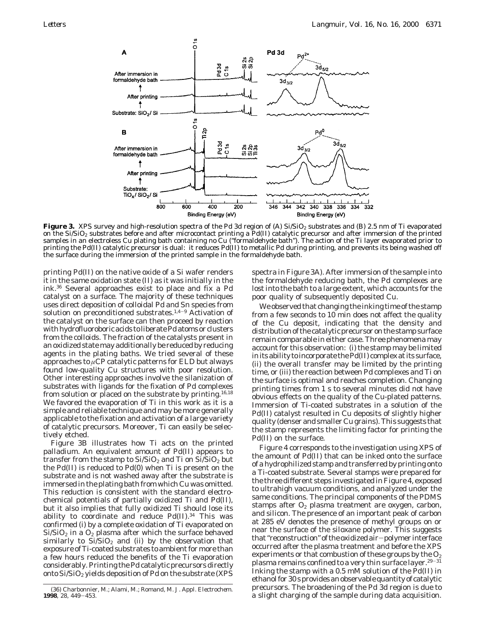

Figure 3. XPS survey and high-resolution spectra of the Pd 3d region of (A) Si/SiO<sub>2</sub> substrates and (B) 2.5 nm of Ti evaporated on the Si/SiO<sub>2</sub> substrates before and after microcontact printing a Pd(II) catalytic precursor and after immersion of the printed samples in an electroless Cu plating bath containing no Cu ("formaldehyde bath"). The action of the Ti layer evaporated prior to printing the Pd(II) catalytic precursor is dual: it reduces Pd(II) to metallic Pd during printing, and prevents its being washed off the surface during the immersion of the printed sample in the formaldehyde bath.

printing Pd(II) on the native oxide of a Si wafer renders it in the same oxidation state (II) as it was initially in the ink.36 Several approaches exist to place and fix a Pd catalyst on a surface. The majority of these techniques uses direct deposition of colloidal Pd and Sn species from solution on preconditioned substrates.<sup>1,4–9</sup> Activation of the catalyst on the surface can then proceed by reaction with hydrofluoroboric acids to liberate Pd atoms or clusters from the colloids. The fraction of the catalysts present in an oxidized state may additionally be reduced by reducing agents in the plating baths. We tried several of these approaches to *µ*CP catalytic patterns for ELD but always found low-quality Cu structures with poor resolution. Other interesting approaches involve the silanization of substrates with ligands for the fixation of Pd complexes from solution or placed on the substrate by printing.<sup>16,18</sup> We favored the evaporation of Ti in this work as it is a simple and reliable technique and may be more generally applicable to the fixation and activation of a large variety of catalytic precursors. Moreover, Ti can easily be selectively etched.

Figure 3B illustrates how Ti acts on the printed palladium. An equivalent amount of Pd(II) appears to transfer from the stamp to  $Si/SiO<sub>2</sub>$  and Ti on  $Si/SiO<sub>2</sub>$  but the Pd(II) is reduced to Pd(0) when Ti is present on the substrate and is not washed away after the substrate is immersed in the plating bath from which Cu was omitted. This reduction is consistent with the standard electrochemical potentials of partially oxidized Ti and Pd(II), but it also implies that fully oxidized Ti should lose its ability to coordinate and reduce  $Pd(II).<sup>34</sup>$  This was confirmed (i) by a complete oxidation of Ti evaporated on  $Si/SiO<sub>2</sub>$  in a  $O<sub>2</sub>$  plasma after which the surface behaved similarly to  $Si/SiO<sub>2</sub>$  and (ii) by the observation that exposure of Ti-coated substrates to ambient for more than a few hours reduced the benefits of the Ti evaporation considerably. Printing the Pd catalytic precursors directly onto  $Si/SiO<sub>2</sub>$  yields deposition of Pd on the substrate (XPS

spectra in Figure 3A). After immersion of the sample into the formaldehyde reducing bath, the Pd complexes are lost into the bath to a large extent, which accounts for the poor quality of subsequently deposited Cu.

We observed that changing the inking time of the stamp from a few seconds to 10 min does not affect the quality of the Cu deposit, indicating that the density and distribution of the catalytic precursor on the stamp surface remain comparable in either case. Three phenomena may account for this observation: (i) the stamp may be limited in its ability to incorporate the Pd(II) complex at its surface, (ii) the overall transfer may be limited by the printing time, or (iii) the reaction between Pd complexes and Ti on the surface is optimal and reaches completion. Changing printing times from 1 s to several minutes did not have obvious effects on the quality of the Cu-plated patterns. Immersion of Ti-coated substrates in a solution of the Pd(II) catalyst resulted in Cu deposits of slightly higher quality (denser and smaller Cu grains). This suggests that the stamp represents the limiting factor for printing the Pd(II) on the surface.

Figure 4 corresponds to the investigation using XPS of the amount of Pd(II) that can be inked onto the surface of a hydrophilized stamp and transferred by printing onto a Ti-coated substrate. Several stamps were prepared for the three different steps investigated in Figure 4, exposed to ultrahigh vacuum conditions, and analyzed under the same conditions. The principal components of the PDMS stamps after  $O<sub>2</sub>$  plasma treatment are oxygen, carbon, and silicon. The presence of an important peak of carbon at 285 eV denotes the presence of methyl groups on or near the surface of the siloxane polymer. This suggests that "reconstruction" of the oxidized air-polymer interface occurred after the plasma treatment and before the XPS experiments or that combustion of these groups by the  $O<sub>2</sub>$ plasma remains confined to a very thin surface layer.<sup>29-31</sup> Inking the stamp with a 0.5 mM solution of the Pd(II) in ethanol for 30 s provides an observable quantity of catalytic precursors. The broadening of the Pd 3d region is due to a slight charbonnier, M.; Alami, M.; Romand, M. *J. Appl. Electrochem.* (36) Charbonnier, M.; Alami, M.; Romand, M. *J. Appl. Electrochem.* (36) precursors. The proadening of the rample during data acquisition.

**<sup>1998</sup>**, *<sup>28</sup>*, 449-453.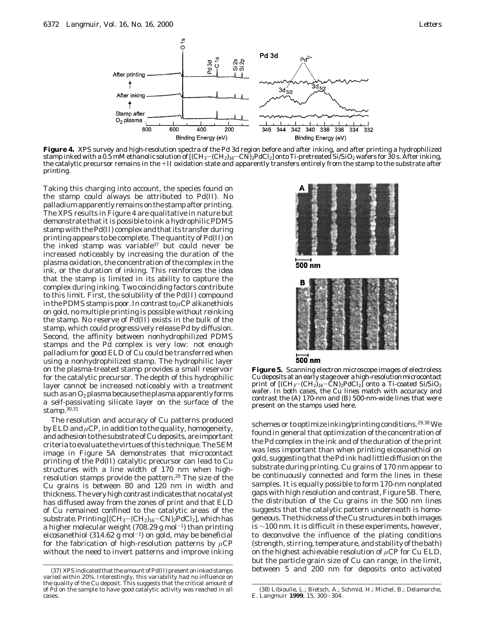

**Figure 4.** XPS survey and high-resolution spectra of the Pd 3d region before and after inking, and after printing a hydrophilized stamp inked with a 0.5 mM ethanolic solution of  $[(CH_3-(CH_2)_{16}-CN)_2PdCl_2]$  onto Ti-pretreated Si/SiO<sub>2</sub> wafers for 30 s. After inking, the catalytic precursor remains in the +II oxidation state and apparently transfers entirely from the stamp to the substrate after printing.

Taking this charging into account, the species found on the stamp could always be attributed to Pd(II). No palladium apparently remains on the stamp after printing. The XPS results in Figure 4 are qualitative in nature but demonstrate that it is possible to ink a hydrophilic PDMS stamp with the Pd(II) complex and that its transfer during printing appears to be complete. The quantity of Pd(II) on the inked stamp was variable<sup>37</sup> but could never be increased noticeably by increasing the duration of the plasma oxidation, the concentration of the complex in the ink, or the duration of inking. This reinforces the idea that the stamp is limited in its ability to capture the complex during inking. Two coinciding factors contribute to this limit. First, the solubility of the Pd(II) compound in the PDMS stamp is poor. In contrast to *µ*CP alkanethiols on gold, no multiple printing is possible without reinking the stamp. No reserve of Pd(II) exists in the bulk of the stamp, which could progressively release Pd by diffusion. Second, the affinity between nonhydrophilized PDMS stamps and the Pd complex is very low: not enough palladium for good ELD of Cu could be transferred when using a nonhydrophilized stamp. The hydrophilic layer on the plasma-treated stamp provides a small reservoir for the catalytic precursor. The depth of this hydrophilic layer cannot be increased noticeably with a treatment such as an  $O_2$  plasma because the plasma apparently forms a self-passivating silicate layer on the surface of the stamp.30,31

The resolution and accuracy of Cu patterns produced by ELD and *µ*CP, in addition to the quality, homogeneity, and adhesion to the substrate of Cu deposits, are important criteria to evaluate the virtues of this technique. The SEM image in Figure 5A demonstrates that microcontact printing of the Pd(II) catalytic precursor can lead to Cu structures with a line width of 170 nm when highresolution stamps provide the pattern.26 The size of the Cu grains is between 80 and 120 nm in width and thickness. The very high contrast indicates that no catalyst has diffused away from the zones of print and that ELD of Cu remained confined to the catalytic areas of the substrate. Printing  $[(CH_3–(CH_2)_{16}-CN)_2PdCl_2]$ , which has a higher molecular weight (708.29 g mol<sup>-1</sup>) than printing eicosanethiol (314.62 g mol<sup>-1</sup>) on gold, may be beneficial for the fabrication of high-resolution patterns by *µ*CP without the need to invert patterns and improve inking



500 nm

| В                   |  |  |
|---------------------|--|--|
|                     |  |  |
|                     |  |  |
|                     |  |  |
|                     |  |  |
|                     |  |  |
| $500$ <sub>nm</sub> |  |  |

**Figure 5.** Scanning electron microscope images of electroless Cu deposits at an early stage over a high-resolution microcontact print of  $[(CH_3-(CH_2)_{16}-\tilde{C}N)_2PdCl_2]$  onto a Ti-coated Si/SiO<sub>2</sub> wafer. In both cases, the Cu lines match with accuracy and contrast the (A) 170-nm and (B) 500-nm-wide lines that were present on the stamps used here.

schemes or to optimize inking/printing conditions.<sup>29,38</sup> We found in general that optimization of the concentration of the Pd complex in the ink and of the duration of the print was less important than when printing eicosanethiol on gold, suggesting that the Pd ink had little diffusion on the substrate during printing. Cu grains of 170 nm appear to be continuously connected and form the lines in these samples. It is equally possible to form 170-nm nonplated gaps with high resolution and contrast, Figure 5B. There, the distribution of the Cu grains in the 500 nm lines suggests that the catalytic pattern underneath is homogeneous. The thickness of the Cu structures in both images is ∼100 nm. It is difficult in these experiments, however, to deconvolve the influence of the plating conditions (strength, stirring, temperature, and stability of the bath) on the highest achievable resolution of *µ*CP for Cu ELD, but the particle grain size of Cu can range, in the limit, (37) XPS indicated that the amount of Pd(II) present on inked stamps between 5 and 200 nm for deposits onto activated

varied within 20%. Interestingly, this variability had no influence on the quality of the Cu deposit. This suggests that the critical amount of of Pd on the sample to have good catalytic activity was reached in all cases.

<sup>(38)</sup> Libioulle, L.; Bietsch, A.; Schmid, H.; Michel, B.; Delamarche, E. *Langmuir* **<sup>1999</sup>**, *<sup>15</sup>*, 300-304.